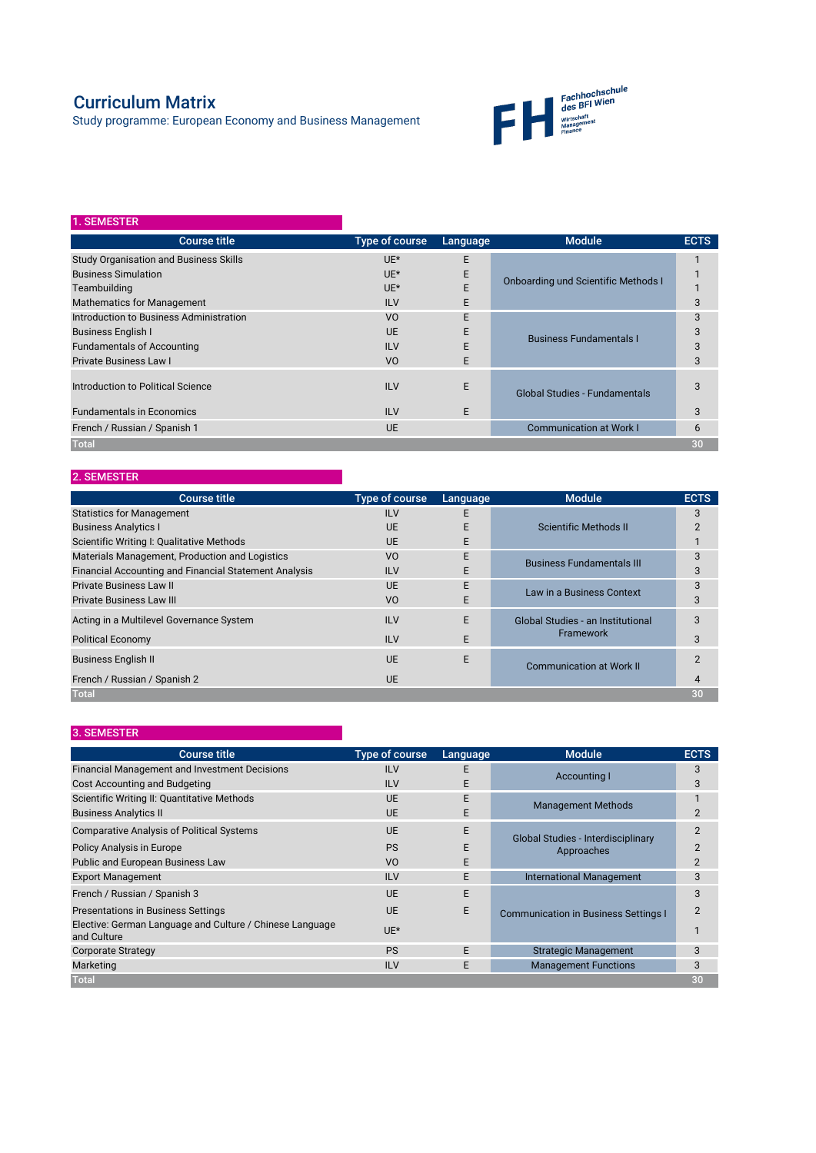## Curriculum Matrix

Study programme: European Economy and Business Management



## 2. SEMESTER

| 1. SEMESTER                                   |                |          |                                            |             |
|-----------------------------------------------|----------------|----------|--------------------------------------------|-------------|
| <b>Course title</b>                           | Type of course | Language | <b>Module</b>                              | <b>ECTS</b> |
| <b>Study Organisation and Business Skills</b> | UE*            | E        | <b>Onboarding und Scientific Methods I</b> |             |
| <b>Business Simulation</b>                    | $UE^*$         | E        |                                            |             |
| Teambuilding                                  | $UE^*$         | E        |                                            |             |
| <b>Mathematics for Management</b>             | <b>ILV</b>     | E.       |                                            | 3           |
| Introduction to Business Administration       | V <sub>O</sub> | E        | <b>Business Fundamentals I</b>             | 3           |
| <b>Business English I</b>                     | UE             | E        |                                            | 3           |
| <b>Fundamentals of Accounting</b>             | <b>ILV</b>     | F        |                                            | 3           |
| <b>Private Business Law I</b>                 | V <sub>O</sub> | E.       |                                            | 3           |
| Introduction to Political Science             | <b>ILV</b>     | E        | <b>Global Studies - Fundamentals</b>       | 3           |
| <b>Fundamentals in Economics</b>              | <b>ILV</b>     | E        |                                            | 3           |
| French / Russian / Spanish 1                  | <b>UE</b>      |          | <b>Communication at Work I</b>             | 6           |
| <b>Total</b>                                  |                |          |                                            | 30          |

## 3. SEMESTER

| <b>Course title</b>                                          | Type of course | Language | <b>Module</b>                            | <b>ECTS</b> |
|--------------------------------------------------------------|----------------|----------|------------------------------------------|-------------|
| <b>Statistics for Management</b>                             | <b>ILV</b>     | F        |                                          | 3           |
| <b>Business Analytics I</b>                                  | <b>UE</b>      |          | Scientific Methods II                    |             |
| Scientific Writing I: Qualitative Methods                    | UF             | E        |                                          |             |
| Materials Management, Production and Logistics               | V <sub>O</sub> | E        | <b>Business Fundamentals III</b>         |             |
| <b>Financial Accounting and Financial Statement Analysis</b> | <b>ILV</b>     |          |                                          | 3           |
| <b>Private Business Law II</b>                               | UF             | E        | Law in a Business Context                |             |
| <b>Private Business Law III</b>                              | V <sub>O</sub> | F        |                                          | 3           |
| Acting in a Multilevel Governance System                     | <b>ILV</b>     | E        | <b>Global Studies - an Institutional</b> | 3           |
| <b>Political Economy</b>                                     | <b>ILV</b>     | E        | Framework                                | 3           |
| <b>Business English II</b>                                   | UF             | E        | <b>Communication at Work II</b>          |             |
| French / Russian / Spanish 2                                 | <b>UE</b>      |          |                                          |             |
| <b>Total</b>                                                 |                |          |                                          | 30          |

| <b>Course title</b>                                                     | Type of course | Language | <b>Module</b>                                           | <b>ECTS</b>    |
|-------------------------------------------------------------------------|----------------|----------|---------------------------------------------------------|----------------|
| <b>Financial Management and Investment Decisions</b>                    | <b>ILV</b>     | F.       | Accounting I                                            | 3              |
| Cost Accounting and Budgeting                                           | <b>ILV</b>     | E.       |                                                         | 3              |
| Scientific Writing II: Quantitative Methods                             | <b>UF</b>      | F        | <b>Management Methods</b>                               |                |
| <b>Business Analytics II</b>                                            | UE             |          |                                                         | 2              |
| <b>Comparative Analysis of Political Systems</b>                        | UE             | E.       | <b>Global Studies - Interdisciplinary</b><br>Approaches | $\mathfrak{p}$ |
| Policy Analysis in Europe                                               | <b>PS</b>      | F        |                                                         | 2              |
| Public and European Business Law                                        | V <sub>O</sub> | E        |                                                         | $\overline{2}$ |
| <b>Export Management</b>                                                | <b>ILV</b>     | E        | <b>International Management</b>                         | 3              |
| French / Russian / Spanish 3                                            | UE             | E        | <b>Communication in Business Settings I</b>             | 3              |
| <b>Presentations in Business Settings</b>                               | UE             | E        |                                                         | 2              |
| Elective: German Language and Culture / Chinese Language<br>and Culture | UE*            |          |                                                         |                |
| <b>Corporate Strategy</b>                                               | <b>PS</b>      | F.       | <b>Strategic Management</b>                             | 3              |
| Marketing                                                               | <b>ILV</b>     | E        | <b>Management Functions</b>                             | 3              |
| <b>Total</b>                                                            |                |          |                                                         | 30             |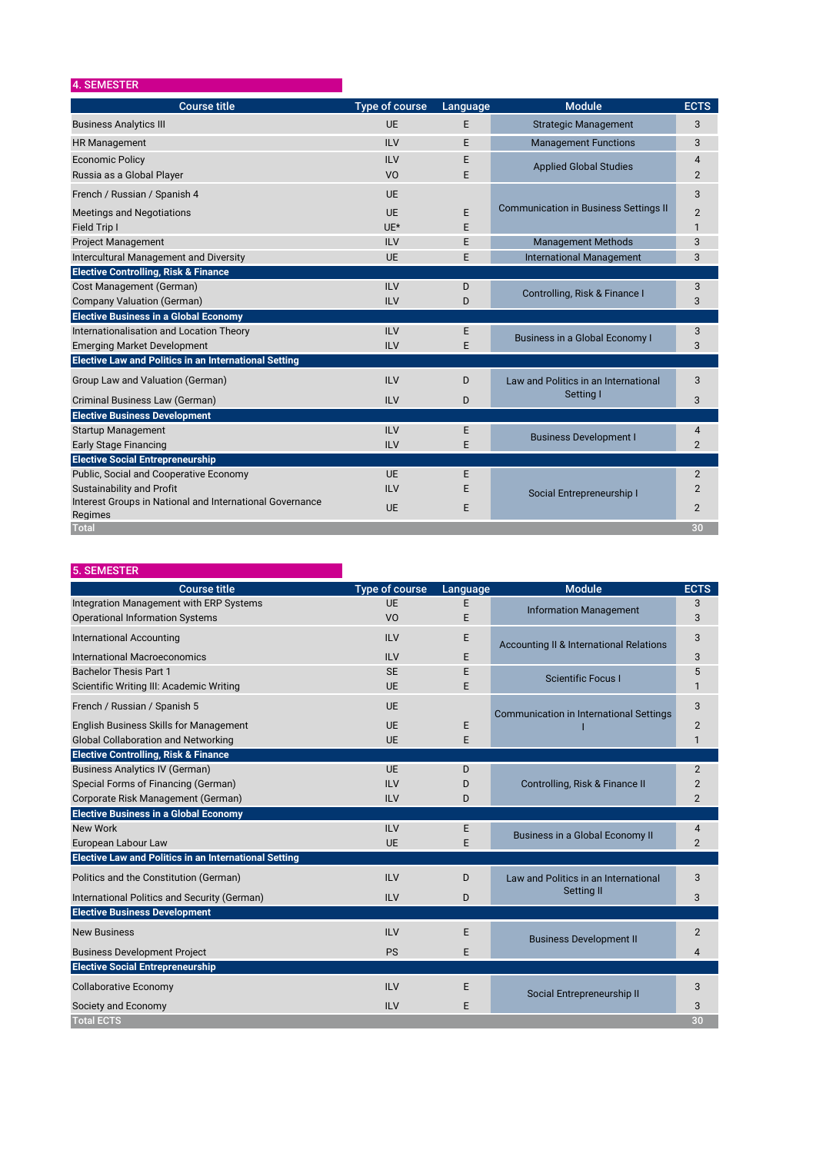| 4. SEMESTER                                                         |                       |          |                                              |                |
|---------------------------------------------------------------------|-----------------------|----------|----------------------------------------------|----------------|
| <b>Course title</b>                                                 | <b>Type of course</b> | Language | <b>Module</b>                                | <b>ECTS</b>    |
| <b>Business Analytics III</b>                                       | <b>UE</b>             | E        | <b>Strategic Management</b>                  | 3              |
| <b>HR Management</b>                                                | <b>ILV</b>            | E        | <b>Management Functions</b>                  | 3              |
| <b>Economic Policy</b>                                              | <b>ILV</b>            | E        | <b>Applied Global Studies</b>                | $\overline{4}$ |
| Russia as a Global Player                                           | V <sub>O</sub>        | F.       |                                              | 2              |
| French / Russian / Spanish 4                                        | <b>UE</b>             |          |                                              | 3              |
| <b>Meetings and Negotiations</b>                                    | <b>UF</b>             | E        | <b>Communication in Business Settings II</b> | $\overline{2}$ |
| Field Trip I                                                        | $UE*$                 | E        |                                              | $\mathbf{1}$   |
| <b>Project Management</b>                                           | <b>ILV</b>            | E        | <b>Management Methods</b>                    | 3              |
| <b>Intercultural Management and Diversity</b>                       | <b>UE</b>             | F        | <b>International Management</b>              | 3              |
| <b>Elective Controlling, Risk &amp; Finance</b>                     |                       |          |                                              |                |
| Cost Management (German)                                            | <b>ILV</b>            | D        | Controlling, Risk & Finance I                | 3              |
| <b>Company Valuation (German)</b>                                   | <b>ILV</b>            | D        |                                              | 3              |
| <b>Elective Business in a Global Economy</b>                        |                       |          |                                              |                |
| Internationalisation and Location Theory                            | <b>ILV</b>            | E        | <b>Business in a Global Economy I</b>        | 3              |
| <b>Emerging Market Development</b>                                  | <b>ILV</b>            | E        |                                              | 3              |
| <b>Elective Law and Politics in an International Setting</b>        |                       |          |                                              |                |
| Group Law and Valuation (German)                                    | <b>ILV</b>            | D        | Law and Politics in an International         | 3              |
| Criminal Business Law (German)                                      | <b>ILV</b>            | D        | Setting I                                    | 3              |
| <b>Elective Business Development</b>                                |                       |          |                                              |                |
| <b>Startup Management</b>                                           | <b>ILV</b>            | Е        |                                              | 4              |
| <b>Early Stage Financing</b>                                        | <b>ILV</b>            | E        | <b>Business Development I</b>                | $\overline{2}$ |
| <b>Elective Social Entrepreneurship</b>                             |                       |          |                                              |                |
| Public, Social and Cooperative Economy                              | <b>UE</b>             | E        |                                              | $\overline{2}$ |
| <b>Sustainability and Profit</b>                                    | <b>ILV</b>            | F        | Social Entrepreneurship I                    | $\overline{2}$ |
| Interest Groups in National and International Governance<br>Regimes | <b>UE</b>             | Е        |                                              | $\overline{2}$ |
| <b>Total</b>                                                        |                       |          |                                              | 30             |

| <b>5. SEMESTER</b>                                           |                |          |                                                |                |
|--------------------------------------------------------------|----------------|----------|------------------------------------------------|----------------|
| <b>Course title</b>                                          | Type of course | Language | <b>Module</b>                                  | <b>ECTS</b>    |
| Integration Management with ERP Systems                      | <b>UE</b>      | E        | <b>Information Management</b>                  | 3              |
| <b>Operational Information Systems</b>                       | V <sub>O</sub> | E        |                                                | 3              |
| <b>International Accounting</b>                              | <b>ILV</b>     | E        | Accounting II & International Relations        | 3              |
| International Macroeconomics                                 | <b>ILV</b>     | E        |                                                | 3              |
| <b>Bachelor Thesis Part 1</b>                                | <b>SE</b>      | E        | <b>Scientific Focus I</b>                      | 5              |
| Scientific Writing III: Academic Writing                     | <b>UE</b>      | E        |                                                |                |
| French / Russian / Spanish 5                                 | <b>UE</b>      |          | <b>Communication in International Settings</b> | 3              |
| <b>English Business Skills for Management</b>                | UF             | E        |                                                | $\overline{2}$ |
| <b>Global Collaboration and Networking</b>                   | <b>UE</b>      | Е        |                                                |                |
| <b>Elective Controlling, Risk &amp; Finance</b>              |                |          |                                                |                |
| <b>Business Analytics IV (German)</b>                        | <b>UE</b>      | D        |                                                | $\overline{2}$ |
| Special Forms of Financing (German)                          | <b>ILV</b>     | D        | Controlling, Risk & Finance II                 | $\overline{2}$ |
| Corporate Risk Management (German)                           | <b>ILV</b>     | D        |                                                | 2              |
| <b>Elective Business in a Global Economy</b>                 |                |          |                                                |                |
| New Work                                                     | ILV            | E        | Business in a Global Economy II                | 4              |
| European Labour Law                                          | <b>UE</b>      | E        |                                                | 2              |
| <b>Elective Law and Politics in an International Setting</b> |                |          |                                                |                |
| Politics and the Constitution (German)                       | <b>ILV</b>     | D        | Law and Politics in an International           | 3              |

| International Politics and Security (German) | <b>ILV</b> | D | Setting II                     | 3  |
|----------------------------------------------|------------|---|--------------------------------|----|
| <b>Elective Business Development</b>         |            |   |                                |    |
| <b>New Business</b>                          | <b>ILV</b> |   | <b>Business Development II</b> | າ  |
| <b>Business Development Project</b>          | <b>PS</b>  |   |                                | 4  |
| <b>Elective Social Entrepreneurship</b>      |            |   |                                |    |
| <b>Collaborative Economy</b>                 | <b>ILV</b> |   | Social Entrepreneurship II     | 3  |
| Society and Economy                          | <b>ILV</b> |   |                                | 3  |
| <b>Total ECTS</b>                            |            |   |                                | 30 |